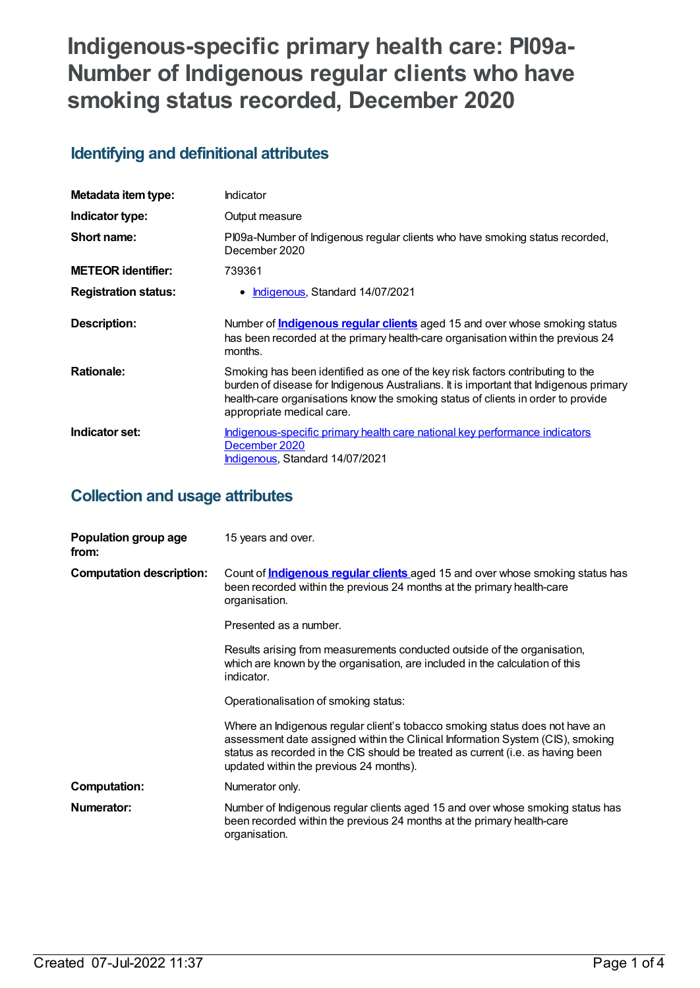# **Indigenous-specific primary health care: PI09a-Number of Indigenous regular clients who have smoking status recorded, December 2020**

## **Identifying and definitional attributes**

| Metadata item type:         | Indicator                                                                                                                                                                                                                                                                                |
|-----------------------------|------------------------------------------------------------------------------------------------------------------------------------------------------------------------------------------------------------------------------------------------------------------------------------------|
| Indicator type:             | Output measure                                                                                                                                                                                                                                                                           |
| Short name:                 | PI09a-Number of Indigenous regular clients who have smoking status recorded,<br>December 2020                                                                                                                                                                                            |
| <b>METEOR identifier:</b>   | 739361                                                                                                                                                                                                                                                                                   |
| <b>Registration status:</b> | Indigenous, Standard 14/07/2021                                                                                                                                                                                                                                                          |
| Description:                | Number of <b>Indigenous regular clients</b> aged 15 and over whose smoking status<br>has been recorded at the primary health-care organisation within the previous 24<br>months.                                                                                                         |
| <b>Rationale:</b>           | Smoking has been identified as one of the key risk factors contributing to the<br>burden of disease for Indigenous Australians. It is important that Indigenous primary<br>health-care organisations know the smoking status of clients in order to provide<br>appropriate medical care. |
| Indicator set:              | Indigenous-specific primary health care national key performance indicators<br>December 2020<br>Indigenous, Standard 14/07/2021                                                                                                                                                          |

## **Collection and usage attributes**

| Population group age<br>from:   | 15 years and over.                                                                                                                                                                                                                                                                           |
|---------------------------------|----------------------------------------------------------------------------------------------------------------------------------------------------------------------------------------------------------------------------------------------------------------------------------------------|
| <b>Computation description:</b> | Count of <b>Indigenous regular clients</b> aged 15 and over whose smoking status has<br>been recorded within the previous 24 months at the primary health-care<br>organisation.                                                                                                              |
|                                 | Presented as a number.                                                                                                                                                                                                                                                                       |
|                                 | Results arising from measurements conducted outside of the organisation,<br>which are known by the organisation, are included in the calculation of this<br>indicator.                                                                                                                       |
|                                 | Operationalisation of smoking status:                                                                                                                                                                                                                                                        |
|                                 | Where an Indigenous regular client's tobacco smoking status does not have an<br>assessment date assigned within the Clinical Information System (CIS), smoking<br>status as recorded in the CIS should be treated as current (i.e. as having been<br>updated within the previous 24 months). |
| <b>Computation:</b>             | Numerator only.                                                                                                                                                                                                                                                                              |
| Numerator:                      | Number of Indigenous regular clients aged 15 and over whose smoking status has<br>been recorded within the previous 24 months at the primary health-care<br>organisation.                                                                                                                    |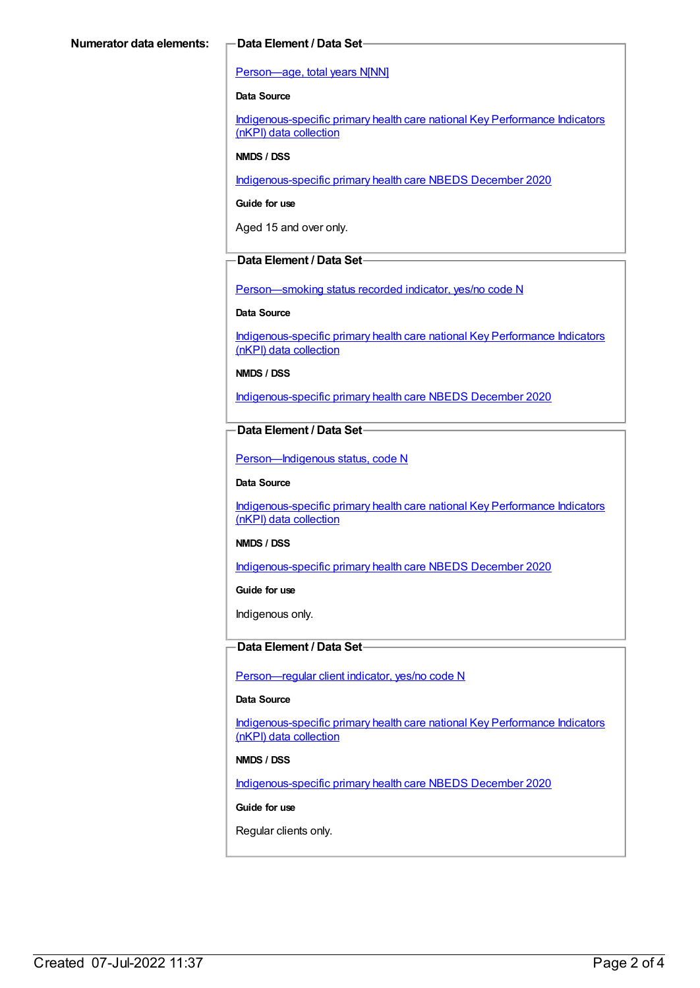#### [Person—age,](https://meteor.aihw.gov.au/content/303794) total years N[NN]

#### **Data Source**

[Indigenous-specific](https://meteor.aihw.gov.au/content/737914) primary health care national Key Performance Indicators (nKPI) data collection

#### **NMDS / DSS**

[Indigenous-specific](https://meteor.aihw.gov.au/content/738532) primary health care NBEDS December 2020

**Guide for use**

Aged 15 and over only.

### **Data Element / Data Set**

Person-smoking status recorded indicator, yes/no code N

#### **Data Source**

[Indigenous-specific](https://meteor.aihw.gov.au/content/737914) primary health care national Key Performance Indicators (nKPI) data collection

**NMDS / DSS**

[Indigenous-specific](https://meteor.aihw.gov.au/content/738532) primary health care NBEDS December 2020

### **Data Element / Data Set**

[Person—Indigenous](https://meteor.aihw.gov.au/content/602543) status, code N

#### **Data Source**

[Indigenous-specific](https://meteor.aihw.gov.au/content/737914) primary health care national Key Performance Indicators (nKPI) data collection

#### **NMDS / DSS**

[Indigenous-specific](https://meteor.aihw.gov.au/content/738532) primary health care NBEDS December 2020

**Guide for use**

Indigenous only.

### **Data Element / Data Set**

[Person—regular](https://meteor.aihw.gov.au/content/686291) client indicator, yes/no code N

#### **Data Source**

[Indigenous-specific](https://meteor.aihw.gov.au/content/737914) primary health care national Key Performance Indicators (nKPI) data collection

#### **NMDS / DSS**

[Indigenous-specific](https://meteor.aihw.gov.au/content/738532) primary health care NBEDS December 2020

#### **Guide for use**

Regular clients only.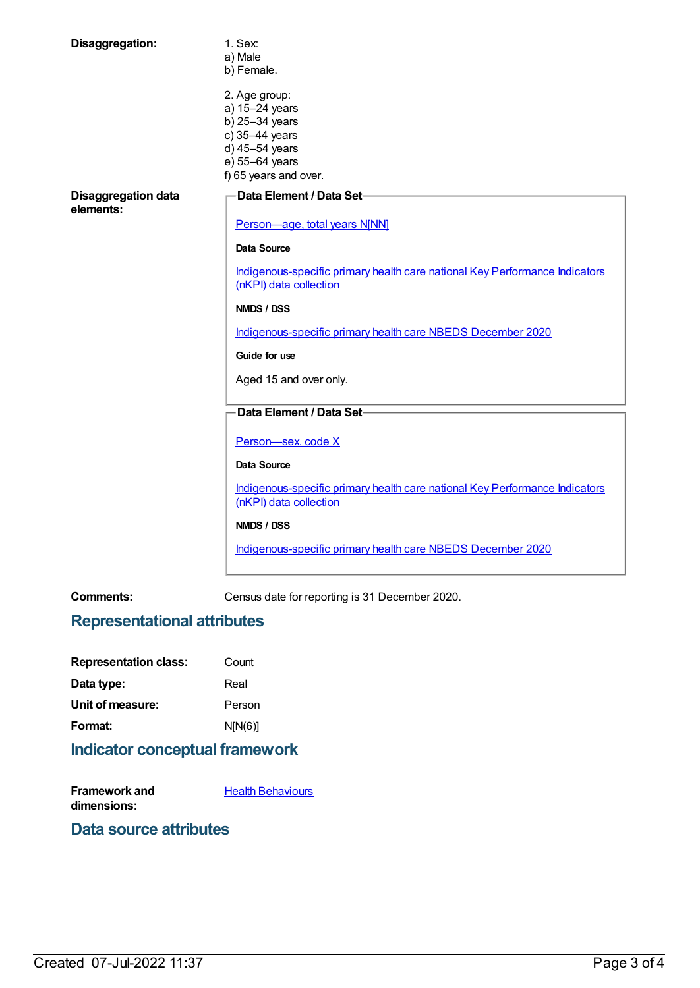| Disaggregation:                         | 1. Sex:<br>a) Male<br>b) Female.                                                                                                 |
|-----------------------------------------|----------------------------------------------------------------------------------------------------------------------------------|
|                                         | 2. Age group:<br>a) 15-24 years<br>b) 25-34 years<br>c) 35-44 years<br>d) 45-54 years<br>e) 55-64 years<br>f) 65 years and over. |
| <b>Disaggregation data</b><br>elements: | Data Element / Data Set-                                                                                                         |
|                                         | Person-age, total years N[NN]                                                                                                    |
|                                         | Data Source                                                                                                                      |
|                                         | Indigenous-specific primary health care national Key Performance Indicators<br>(nKPI) data collection                            |
|                                         | <b>NMDS / DSS</b>                                                                                                                |
|                                         | Indigenous-specific primary health care NBEDS December 2020                                                                      |
|                                         | Guide for use                                                                                                                    |
|                                         | Aged 15 and over only.                                                                                                           |
|                                         | <b>Data Element / Data Set-</b>                                                                                                  |
|                                         | Person-sex, code X                                                                                                               |
|                                         | <b>Data Source</b>                                                                                                               |
|                                         | Indigenous-specific primary health care national Key Performance Indicators<br>(nKPI) data collection                            |
|                                         | NMDS / DSS                                                                                                                       |
|                                         | Indigenous-specific primary health care NBEDS December 2020                                                                      |

**Comments:** Census date for reporting is 31 December 2020.

## **Representational attributes**

| <b>Representation class:</b> | Count   |
|------------------------------|---------|
| Data type:                   | Real    |
| Unit of measure:             | Person  |
| Format:                      | N[N(6)] |
|                              |         |

## **Indicator conceptual framework**

| <b>Framework and</b> | <b>Health Behaviours</b> |
|----------------------|--------------------------|
| dimensions:          |                          |

## **Data source attributes**